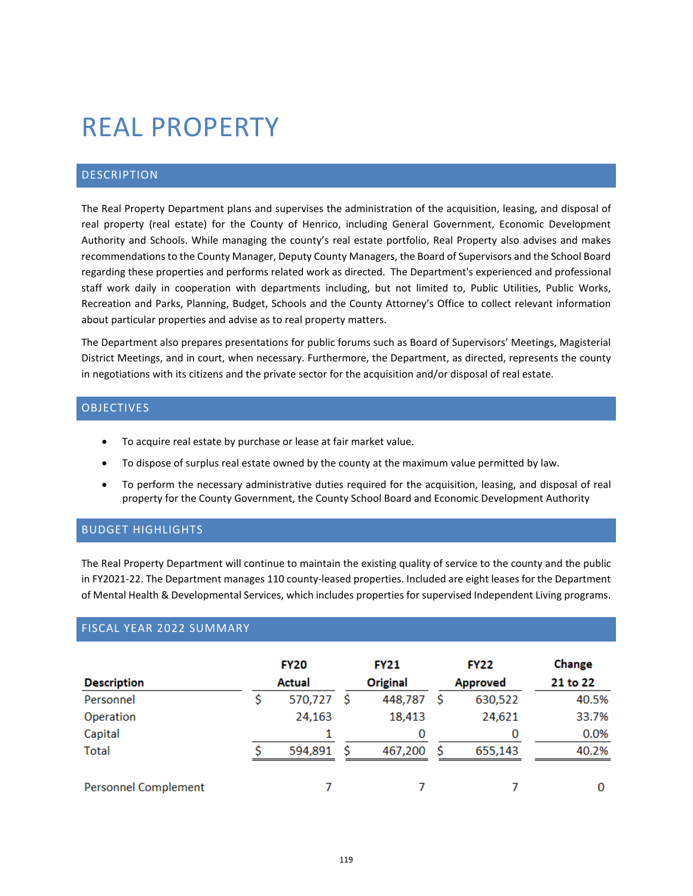# REAL PROPERTY

## DESCRIPTION

The Real Property Department plans and supervises the administration of the acquisition, leasing, and disposal of real property (real estate) for the County of Henrico, including General Government, Economic Development Authority and Schools. While managing the county's real estate portfolio, Real Property also advises and makes recommendations to the County Manager, Deputy County Managers, the Board of Supervisors and the School Board regarding these properties and performs related work as directed. The Department's experienced and professional staff work daily in cooperation with departments including, but not limited to, Public Utilities, Public Works, Recreation and Parks, Planning, Budget, Schools and the County Attorney's Office to collect relevant information about particular properties and advise as to real property matters.

The Department also prepares presentations for public forums such as Board of Supervisors' Meetings, Magisterial District Meetings, and in court, when necessary. Furthermore, the Department, as directed, represents the county in negotiations with its citizens and the private sector for the acquisition and/or disposal of real estate.

#### OBJECTIVES

- To acquire real estate by purchase or lease at fair market value.
- To dispose of surplus real estate owned by the county at the maximum value permitted by law.
- To perform the necessary administrative duties required for the acquisition, leasing, and disposal of real property for the County Government, the County School Board and Economic Development Authority

# BUDGET HIGHLIGHTS

The Real Property Department will continue to maintain the existing quality of service to the county and the public in FY2021-22. The Department manages 110 county-leased properties. Included are eight leases for the Department of Mental Health & Developmental Services, which includes properties for supervised Independent Living programs.

# FISCAL YEAR 2022 SUMMARY

| <b>Description</b>          | <b>FY20</b><br>Actual |   | <b>FY21</b><br>Original |    | <b>FY22</b><br><b>Approved</b> | Change<br>21 to 22 |
|-----------------------------|-----------------------|---|-------------------------|----|--------------------------------|--------------------|
| Personnel                   | 570,727 \$            |   | 448,787                 | \$ | 630,522                        | 40.5%              |
| Operation                   | 24,163                |   | 18,413                  |    | 24,621                         | 33.7%              |
| Capital                     |                       |   | 0                       |    | 0                              | 0.0%               |
| <b>Total</b>                | 594,891               | s | 467,200                 | S  | 655,143                        | 40.2%              |
| <b>Personnel Complement</b> |                       |   |                         |    |                                | 0                  |